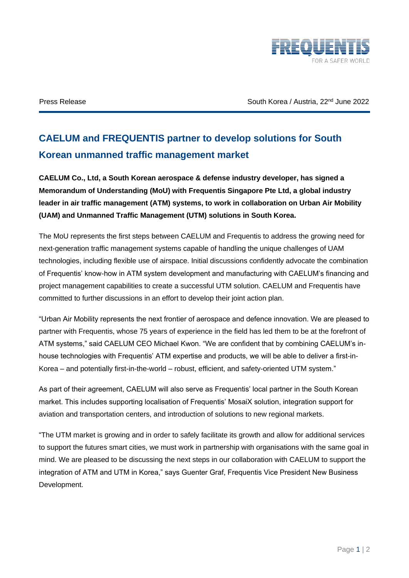

Press Release **Figure 2022** South Korea / Austria, 22<sup>nd</sup> June 2022

## **CAELUM and FREQUENTIS partner to develop solutions for South Korean unmanned traffic management market**

**CAELUM Co., Ltd, a South Korean aerospace & defense industry developer, has signed a Memorandum of Understanding (MoU) with Frequentis Singapore Pte Ltd, a global industry leader in air traffic management (ATM) systems, to work in collaboration on Urban Air Mobility (UAM) and Unmanned Traffic Management (UTM) solutions in South Korea.**

The MoU represents the first steps between CAELUM and Frequentis to address the growing need for next-generation traffic management systems capable of handling the unique challenges of UAM technologies, including flexible use of airspace. Initial discussions confidently advocate the combination of Frequentis' know-how in ATM system development and manufacturing with CAELUM's financing and project management capabilities to create a successful UTM solution. CAELUM and Frequentis have committed to further discussions in an effort to develop their joint action plan.

"Urban Air Mobility represents the next frontier of aerospace and defence innovation. We are pleased to partner with Frequentis, whose 75 years of experience in the field has led them to be at the forefront of ATM systems," said CAELUM CEO Michael Kwon. "We are confident that by combining CAELUM's inhouse technologies with Frequentis' ATM expertise and products, we will be able to deliver a first-in-Korea – and potentially first-in-the-world – robust, efficient, and safety-oriented UTM system."

As part of their agreement, CAELUM will also serve as Frequentis' local partner in the South Korean market. This includes supporting localisation of Frequentis' MosaiX solution, integration support for aviation and transportation centers, and introduction of solutions to new regional markets.

"The UTM market is growing and in order to safely facilitate its growth and allow for additional services to support the futures smart cities, we must work in partnership with organisations with the same goal in mind. We are pleased to be discussing the next steps in our collaboration with CAELUM to support the integration of ATM and UTM in Korea," says Guenter Graf, Frequentis Vice President New Business Development.